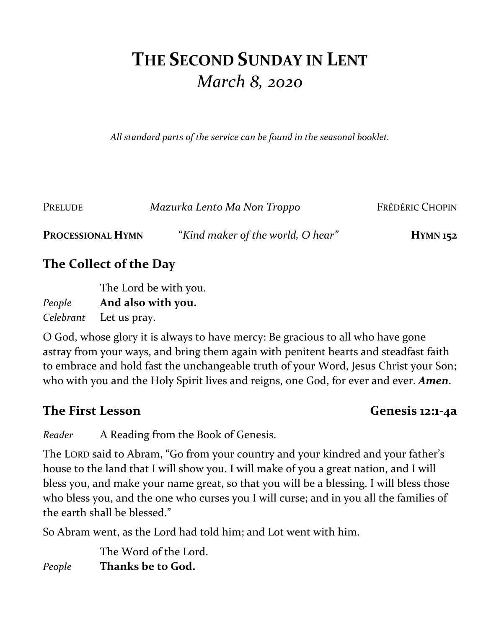# **THE SECOND SUNDAY IN LENT** *March 8, 2020*

*All standard parts of the service can be found in the seasonal booklet.* 

| PRELUDE           | Mazurka Lento Ma Non Troppo       | FRÉDÉRIC CHOPIN |
|-------------------|-----------------------------------|-----------------|
| PROCESSIONAL HYMN | "Kind maker of the world, O hear" | $HYMN$ 152      |

## **The Collect of the Day**

The Lord be with you.

*People* **And also with you.**

*Celebrant* Let us pray.

O God, whose glory it is always to have mercy: Be gracious to all who have gone astray from your ways, and bring them again with penitent hearts and steadfast faith to embrace and hold fast the unchangeable truth of your Word, Jesus Christ your Son; who with you and the Holy Spirit lives and reigns, one God, for ever and ever. *Amen*.

### **The First Lesson Genesis 12:1-4a**

*Reader* A Reading from the Book of Genesis.

The LORD said to Abram, "Go from your country and your kindred and your father's house to the land that I will show you. I will make of you a great nation, and I will bless you, and make your name great, so that you will be a blessing. I will bless those who bless you, and the one who curses you I will curse; and in you all the families of the earth shall be blessed."

So Abram went, as the Lord had told him; and Lot went with him.

The Word of the Lord. *People* **Thanks be to God.**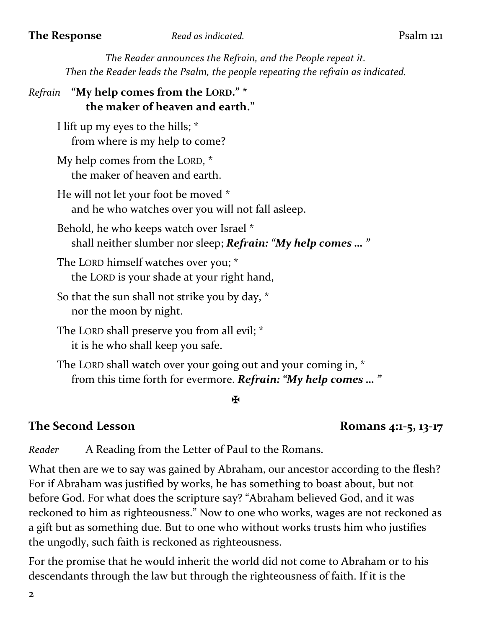#### **The Response** *Read as indicated.* Psalm 121

*The Reader announces the Refrain, and the People repeat it. Then the Reader leads the Psalm, the people repeating the refrain as indicated.*

### *Refrain* **"My help comes from the LORD." \* the maker of heaven and earth."**

I lift up my eyes to the hills; \* from where is my help to come?

My help comes from the LORD, \* the maker of heaven and earth.

He will not let your foot be moved \* and he who watches over you will not fall asleep.

Behold, he who keeps watch over Israel \* shall neither slumber nor sleep; *Refrain: "My help comes … "*

The LORD himself watches over you; \* the LORD is your shade at your right hand,

- So that the sun shall not strike you by day, \* nor the moon by night.
- The LORD shall preserve you from all evil; \* it is he who shall keep you safe.
- The LORD shall watch over your going out and your coming in,  $*$ from this time forth for evermore. *Refrain: "My help comes … "*

#### Ж

#### **The Second Lesson Romans 4:1-5, 13-17**

*Reader* A Reading from the Letter of Paul to the Romans.

What then are we to say was gained by Abraham, our ancestor according to the flesh? For if Abraham was justified by works, he has something to boast about, but not before God. For what does the scripture say? "Abraham believed God, and it was reckoned to him as righteousness." Now to one who works, wages are not reckoned as a gift but as something due. But to one who without works trusts him who justifies the ungodly, such faith is reckoned as righteousness.

For the promise that he would inherit the world did not come to Abraham or to his descendants through the law but through the righteousness of faith. If it is the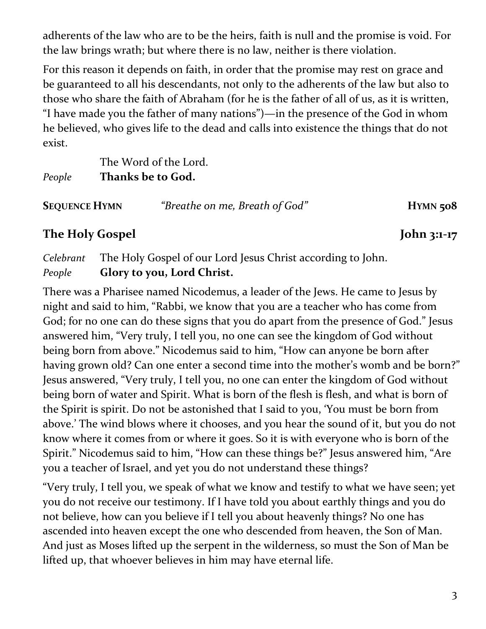adherents of the law who are to be the heirs, faith is null and the promise is void. For the law brings wrath; but where there is no law, neither is there violation.

For this reason it depends on faith, in order that the promise may rest on grace and be guaranteed to all his descendants, not only to the adherents of the law but also to those who share the faith of Abraham (for he is the father of all of us, as it is written, "I have made you the father of many nations")—in the presence of the God in whom he believed, who gives life to the dead and calls into existence the things that do not exist.

|        | The Word of the Lord. |
|--------|-----------------------|
| People | Thanks be to God.     |

| <b>SEQUENCE HYMN</b> | "Breathe on me, Breath of God" | $HYMN$ 508 |
|----------------------|--------------------------------|------------|
|----------------------|--------------------------------|------------|

# **The Holy Gospel John 3:1-17**

### *Celebrant* The Holy Gospel of our Lord Jesus Christ according to John. *People* **Glory to you, Lord Christ.**

There was a Pharisee named Nicodemus, a leader of the Jews. He came to Jesus by night and said to him, "Rabbi, we know that you are a teacher who has come from God; for no one can do these signs that you do apart from the presence of God." Jesus answered him, "Very truly, I tell you, no one can see the kingdom of God without being born from above." Nicodemus said to him, "How can anyone be born after having grown old? Can one enter a second time into the mother's womb and be born?" Jesus answered, "Very truly, I tell you, no one can enter the kingdom of God without being born of water and Spirit. What is born of the flesh is flesh, and what is born of the Spirit is spirit. Do not be astonished that I said to you, 'You must be born from above.' The wind blows where it chooses, and you hear the sound of it, but you do not know where it comes from or where it goes. So it is with everyone who is born of the Spirit." Nicodemus said to him, "How can these things be?" Jesus answered him, "Are you a teacher of Israel, and yet you do not understand these things?

"Very truly, I tell you, we speak of what we know and testify to what we have seen; yet you do not receive our testimony. If I have told you about earthly things and you do not believe, how can you believe if I tell you about heavenly things? No one has ascended into heaven except the one who descended from heaven, the Son of Man. And just as Moses lifted up the serpent in the wilderness, so must the Son of Man be lifted up, that whoever believes in him may have eternal life.